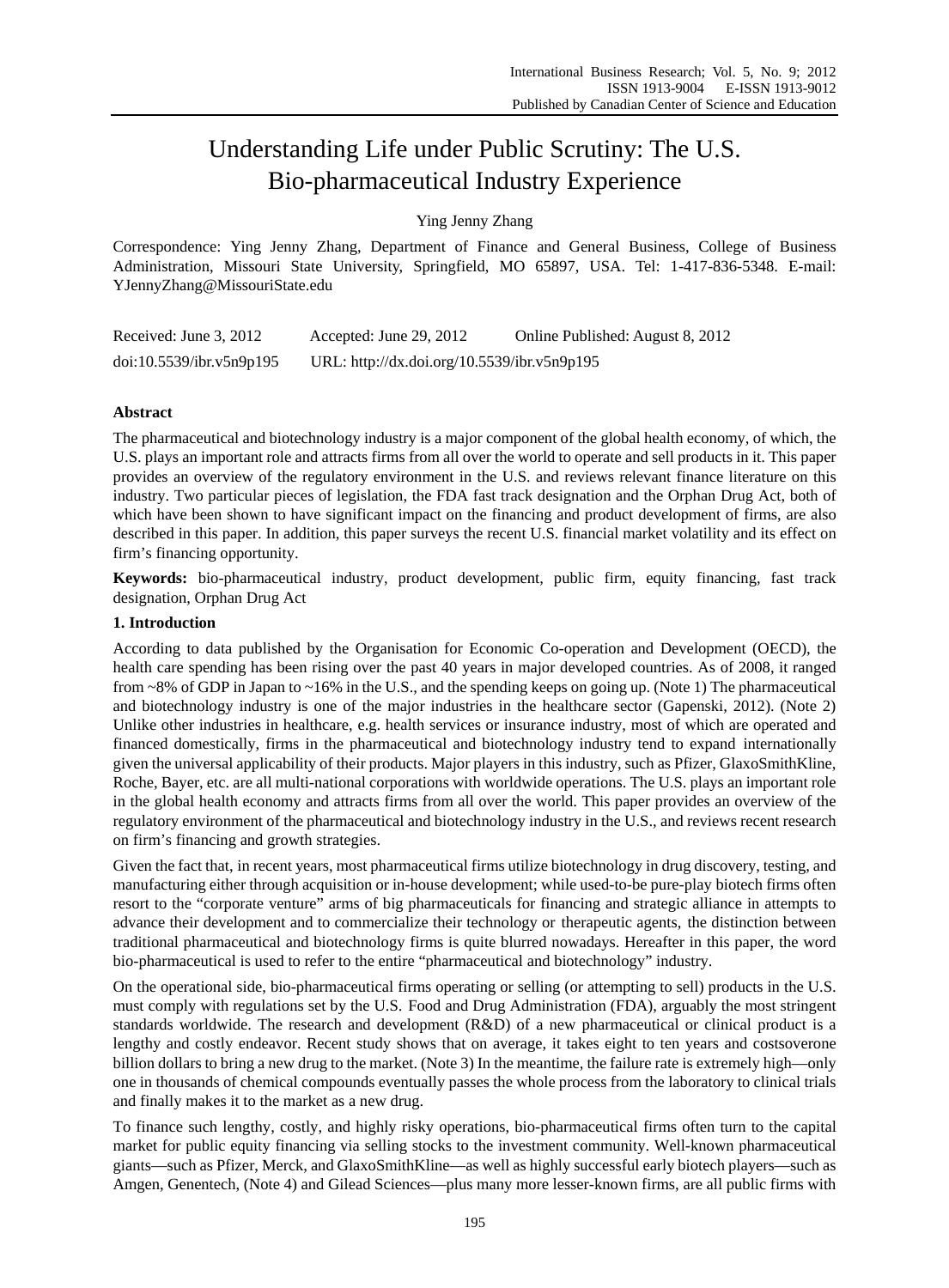# Understanding Life under Public Scrutiny: The U.S. Bio-pharmaceutical Industry Experience

Ying Jenny Zhang

Correspondence: Ying Jenny Zhang, Department of Finance and General Business, College of Business Administration, Missouri State University, Springfield, MO 65897, USA. Tel: 1-417-836-5348. E-mail: YJennyZhang@MissouriState.edu

| Received: June 3, 2012   | Accepted: June 29, 2012                     | Online Published: August 8, 2012 |
|--------------------------|---------------------------------------------|----------------------------------|
| doi:10.5539/ibr.v5n9p195 | URL: http://dx.doi.org/10.5539/ibr.v5n9p195 |                                  |

# **Abstract**

The pharmaceutical and biotechnology industry is a major component of the global health economy, of which, the U.S. plays an important role and attracts firms from all over the world to operate and sell products in it. This paper provides an overview of the regulatory environment in the U.S. and reviews relevant finance literature on this industry. Two particular pieces of legislation, the FDA fast track designation and the Orphan Drug Act, both of which have been shown to have significant impact on the financing and product development of firms, are also described in this paper. In addition, this paper surveys the recent U.S. financial market volatility and its effect on firm's financing opportunity.

**Keywords:** bio-pharmaceutical industry, product development, public firm, equity financing, fast track designation, Orphan Drug Act

# **1. Introduction**

According to data published by the Organisation for Economic Co-operation and Development (OECD), the health care spending has been rising over the past 40 years in major developed countries. As of 2008, it ranged from ~8% of GDP in Japan to ~16% in the U.S., and the spending keeps on going up. (Note 1) The pharmaceutical and biotechnology industry is one of the major industries in the healthcare sector (Gapenski, 2012). (Note 2) Unlike other industries in healthcare, e.g. health services or insurance industry, most of which are operated and financed domestically, firms in the pharmaceutical and biotechnology industry tend to expand internationally given the universal applicability of their products. Major players in this industry, such as Pfizer, GlaxoSmithKline, Roche, Bayer, etc. are all multi-national corporations with worldwide operations. The U.S. plays an important role in the global health economy and attracts firms from all over the world. This paper provides an overview of the regulatory environment of the pharmaceutical and biotechnology industry in the U.S., and reviews recent research on firm's financing and growth strategies.

Given the fact that, in recent years, most pharmaceutical firms utilize biotechnology in drug discovery, testing, and manufacturing either through acquisition or in-house development; while used-to-be pure-play biotech firms often resort to the "corporate venture" arms of big pharmaceuticals for financing and strategic alliance in attempts to advance their development and to commercialize their technology or therapeutic agents, the distinction between traditional pharmaceutical and biotechnology firms is quite blurred nowadays. Hereafter in this paper, the word bio-pharmaceutical is used to refer to the entire "pharmaceutical and biotechnology" industry.

On the operational side, bio-pharmaceutical firms operating or selling (or attempting to sell) products in the U.S. must comply with regulations set by the U.S. Food and Drug Administration (FDA), arguably the most stringent standards worldwide. The research and development (R&D) of a new pharmaceutical or clinical product is a lengthy and costly endeavor. Recent study shows that on average, it takes eight to ten years and costsoverone billion dollars to bring a new drug to the market. (Note 3) In the meantime, the failure rate is extremely high—only one in thousands of chemical compounds eventually passes the whole process from the laboratory to clinical trials and finally makes it to the market as a new drug.

To finance such lengthy, costly, and highly risky operations, bio-pharmaceutical firms often turn to the capital market for public equity financing via selling stocks to the investment community. Well-known pharmaceutical giants—such as Pfizer, Merck, and GlaxoSmithKline—as well as highly successful early biotech players—such as Amgen, Genentech, (Note 4) and Gilead Sciences—plus many more lesser-known firms, are all public firms with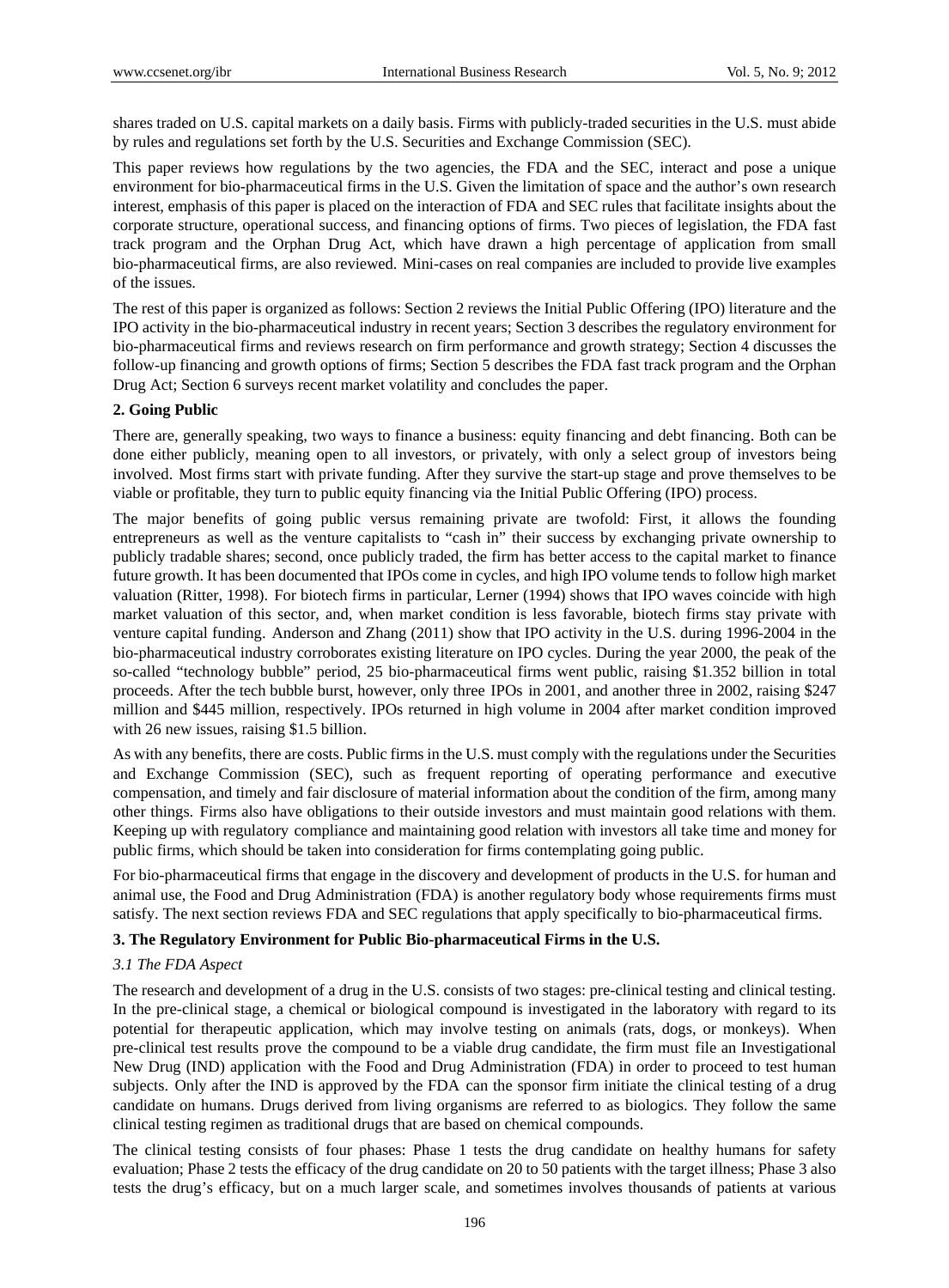shares traded on U.S. capital markets on a daily basis. Firms with publicly-traded securities in the U.S. must abide by rules and regulations set forth by the U.S. Securities and Exchange Commission (SEC).

This paper reviews how regulations by the two agencies, the FDA and the SEC, interact and pose a unique environment for bio-pharmaceutical firms in the U.S. Given the limitation of space and the author's own research interest, emphasis of this paper is placed on the interaction of FDA and SEC rules that facilitate insights about the corporate structure, operational success, and financing options of firms. Two pieces of legislation, the FDA fast track program and the Orphan Drug Act, which have drawn a high percentage of application from small bio-pharmaceutical firms, are also reviewed. Mini-cases on real companies are included to provide live examples of the issues.

The rest of this paper is organized as follows: Section 2 reviews the Initial Public Offering (IPO) literature and the IPO activity in the bio-pharmaceutical industry in recent years; Section 3 describes the regulatory environment for bio-pharmaceutical firms and reviews research on firm performance and growth strategy; Section 4 discusses the follow-up financing and growth options of firms; Section 5 describes the FDA fast track program and the Orphan Drug Act; Section 6 surveys recent market volatility and concludes the paper.

## **2. Going Public**

There are, generally speaking, two ways to finance a business: equity financing and debt financing. Both can be done either publicly, meaning open to all investors, or privately, with only a select group of investors being involved. Most firms start with private funding. After they survive the start-up stage and prove themselves to be viable or profitable, they turn to public equity financing via the Initial Public Offering (IPO) process.

The major benefits of going public versus remaining private are twofold: First, it allows the founding entrepreneurs as well as the venture capitalists to "cash in" their success by exchanging private ownership to publicly tradable shares; second, once publicly traded, the firm has better access to the capital market to finance future growth. It has been documented that IPOs come in cycles, and high IPO volume tends to follow high market valuation (Ritter, 1998). For biotech firms in particular, Lerner (1994) shows that IPO waves coincide with high market valuation of this sector, and, when market condition is less favorable, biotech firms stay private with venture capital funding. Anderson and Zhang (2011) show that IPO activity in the U.S. during 1996-2004 in the bio-pharmaceutical industry corroborates existing literature on IPO cycles. During the year 2000, the peak of the so-called "technology bubble" period, 25 bio-pharmaceutical firms went public, raising \$1.352 billion in total proceeds. After the tech bubble burst, however, only three IPOs in 2001, and another three in 2002, raising \$247 million and \$445 million, respectively. IPOs returned in high volume in 2004 after market condition improved with 26 new issues, raising \$1.5 billion.

As with any benefits, there are costs. Public firms in the U.S. must comply with the regulations under the Securities and Exchange Commission (SEC), such as frequent reporting of operating performance and executive compensation, and timely and fair disclosure of material information about the condition of the firm, among many other things. Firms also have obligations to their outside investors and must maintain good relations with them. Keeping up with regulatory compliance and maintaining good relation with investors all take time and money for public firms, which should be taken into consideration for firms contemplating going public.

For bio-pharmaceutical firms that engage in the discovery and development of products in the U.S. for human and animal use, the Food and Drug Administration (FDA) is another regulatory body whose requirements firms must satisfy. The next section reviews FDA and SEC regulations that apply specifically to bio-pharmaceutical firms.

## **3. The Regulatory Environment for Public Bio-pharmaceutical Firms in the U.S.**

## *3.1 The FDA Aspect*

The research and development of a drug in the U.S. consists of two stages: pre-clinical testing and clinical testing. In the pre-clinical stage, a chemical or biological compound is investigated in the laboratory with regard to its potential for therapeutic application, which may involve testing on animals (rats, dogs, or monkeys). When pre-clinical test results prove the compound to be a viable drug candidate, the firm must file an Investigational New Drug (IND) application with the Food and Drug Administration (FDA) in order to proceed to test human subjects. Only after the IND is approved by the FDA can the sponsor firm initiate the clinical testing of a drug candidate on humans. Drugs derived from living organisms are referred to as biologics. They follow the same clinical testing regimen as traditional drugs that are based on chemical compounds.

The clinical testing consists of four phases: Phase 1 tests the drug candidate on healthy humans for safety evaluation; Phase 2 tests the efficacy of the drug candidate on 20 to 50 patients with the target illness; Phase 3 also tests the drug's efficacy, but on a much larger scale, and sometimes involves thousands of patients at various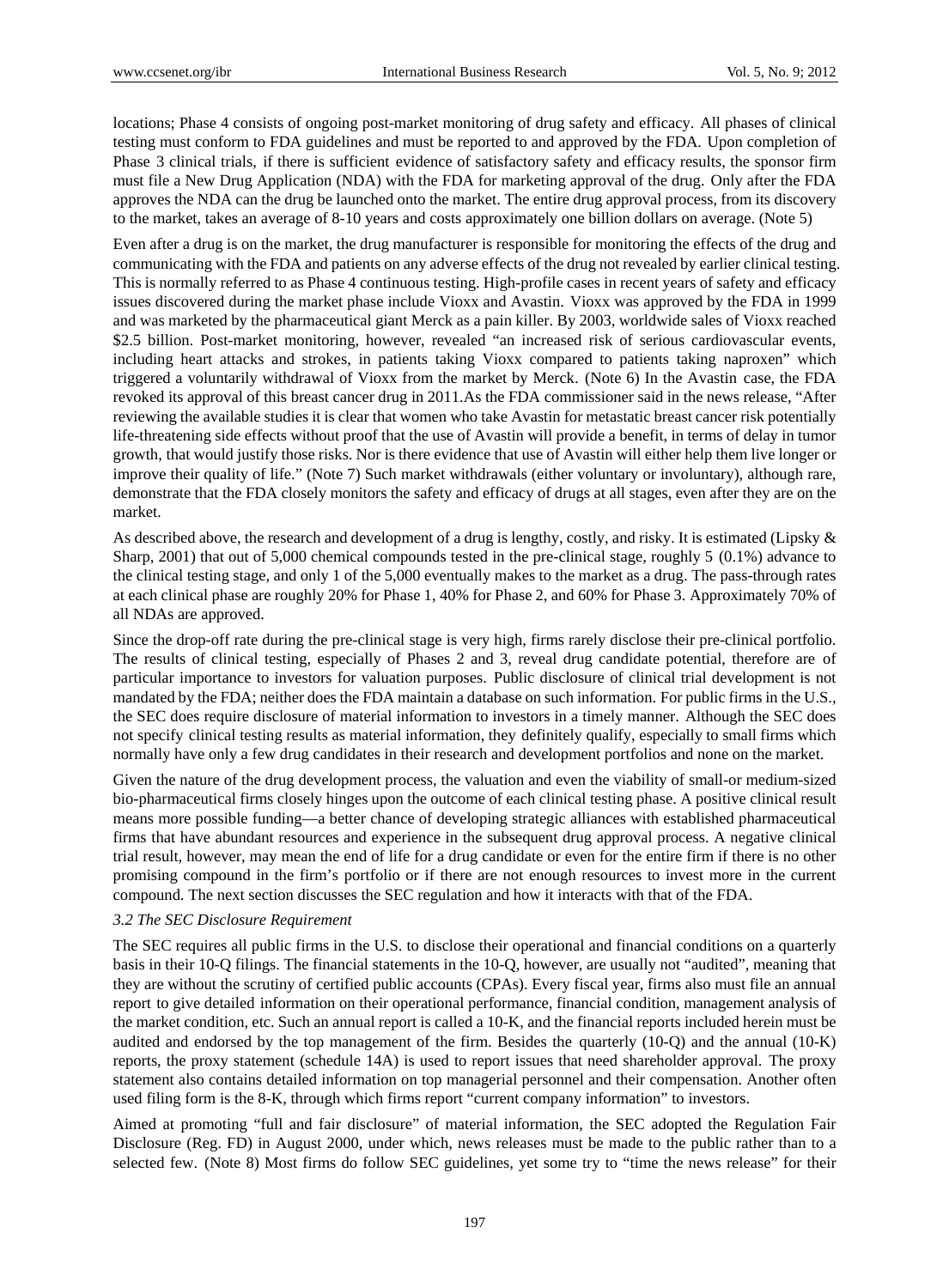locations; Phase 4 consists of ongoing post-market monitoring of drug safety and efficacy. All phases of clinical testing must conform to FDA guidelines and must be reported to and approved by the FDA. Upon completion of Phase 3 clinical trials, if there is sufficient evidence of satisfactory safety and efficacy results, the sponsor firm must file a New Drug Application (NDA) with the FDA for marketing approval of the drug. Only after the FDA approves the NDA can the drug be launched onto the market. The entire drug approval process, from its discovery to the market, takes an average of 8-10 years and costs approximately one billion dollars on average. (Note 5)

Even after a drug is on the market, the drug manufacturer is responsible for monitoring the effects of the drug and communicating with the FDA and patients on any adverse effects of the drug not revealed by earlier clinical testing. This is normally referred to as Phase 4 continuous testing. High-profile cases in recent years of safety and efficacy issues discovered during the market phase include Vioxx and Avastin. Vioxx was approved by the FDA in 1999 and was marketed by the pharmaceutical giant Merck as a pain killer. By 2003, worldwide sales of Vioxx reached \$2.5 billion. Post-market monitoring, however, revealed "an increased risk of serious cardiovascular events, including heart attacks and strokes, in patients taking Vioxx compared to patients taking naproxen" which triggered a voluntarily withdrawal of Vioxx from the market by Merck. (Note 6) In the Avastin case, the FDA revoked its approval of this breast cancer drug in 2011.As the FDA commissioner said in the news release, "After reviewing the available studies it is clear that women who take Avastin for metastatic breast cancer risk potentially life-threatening side effects without proof that the use of Avastin will provide a benefit, in terms of delay in tumor growth, that would justify those risks. Nor is there evidence that use of Avastin will either help them live longer or improve their quality of life." (Note 7) Such market withdrawals (either voluntary or involuntary), although rare, demonstrate that the FDA closely monitors the safety and efficacy of drugs at all stages, even after they are on the market.

As described above, the research and development of a drug is lengthy, costly, and risky. It is estimated (Lipsky & Sharp, 2001) that out of 5,000 chemical compounds tested in the pre-clinical stage, roughly 5 (0.1%) advance to the clinical testing stage, and only 1 of the 5,000 eventually makes to the market as a drug. The pass-through rates at each clinical phase are roughly 20% for Phase 1, 40% for Phase 2, and 60% for Phase 3. Approximately 70% of all NDAs are approved.

Since the drop-off rate during the pre-clinical stage is very high, firms rarely disclose their pre-clinical portfolio. The results of clinical testing, especially of Phases 2 and 3, reveal drug candidate potential, therefore are of particular importance to investors for valuation purposes. Public disclosure of clinical trial development is not mandated by the FDA; neither does the FDA maintain a database on such information. For public firms in the U.S., the SEC does require disclosure of material information to investors in a timely manner. Although the SEC does not specify clinical testing results as material information, they definitely qualify, especially to small firms which normally have only a few drug candidates in their research and development portfolios and none on the market.

Given the nature of the drug development process, the valuation and even the viability of small-or medium-sized bio-pharmaceutical firms closely hinges upon the outcome of each clinical testing phase. A positive clinical result means more possible funding—a better chance of developing strategic alliances with established pharmaceutical firms that have abundant resources and experience in the subsequent drug approval process. A negative clinical trial result, however, may mean the end of life for a drug candidate or even for the entire firm if there is no other promising compound in the firm's portfolio or if there are not enough resources to invest more in the current compound. The next section discusses the SEC regulation and how it interacts with that of the FDA.

#### *3.2 The SEC Disclosure Requirement*

The SEC requires all public firms in the U.S. to disclose their operational and financial conditions on a quarterly basis in their 10-Q filings. The financial statements in the 10-Q, however, are usually not "audited", meaning that they are without the scrutiny of certified public accounts (CPAs). Every fiscal year, firms also must file an annual report to give detailed information on their operational performance, financial condition, management analysis of the market condition, etc. Such an annual report is called a 10-K, and the financial reports included herein must be audited and endorsed by the top management of the firm. Besides the quarterly (10-Q) and the annual (10-K) reports, the proxy statement (schedule 14A) is used to report issues that need shareholder approval. The proxy statement also contains detailed information on top managerial personnel and their compensation. Another often used filing form is the 8-K, through which firms report "current company information" to investors.

Aimed at promoting "full and fair disclosure" of material information, the SEC adopted the Regulation Fair Disclosure (Reg. FD) in August 2000, under which, news releases must be made to the public rather than to a selected few. (Note 8) Most firms do follow SEC guidelines, yet some try to "time the news release" for their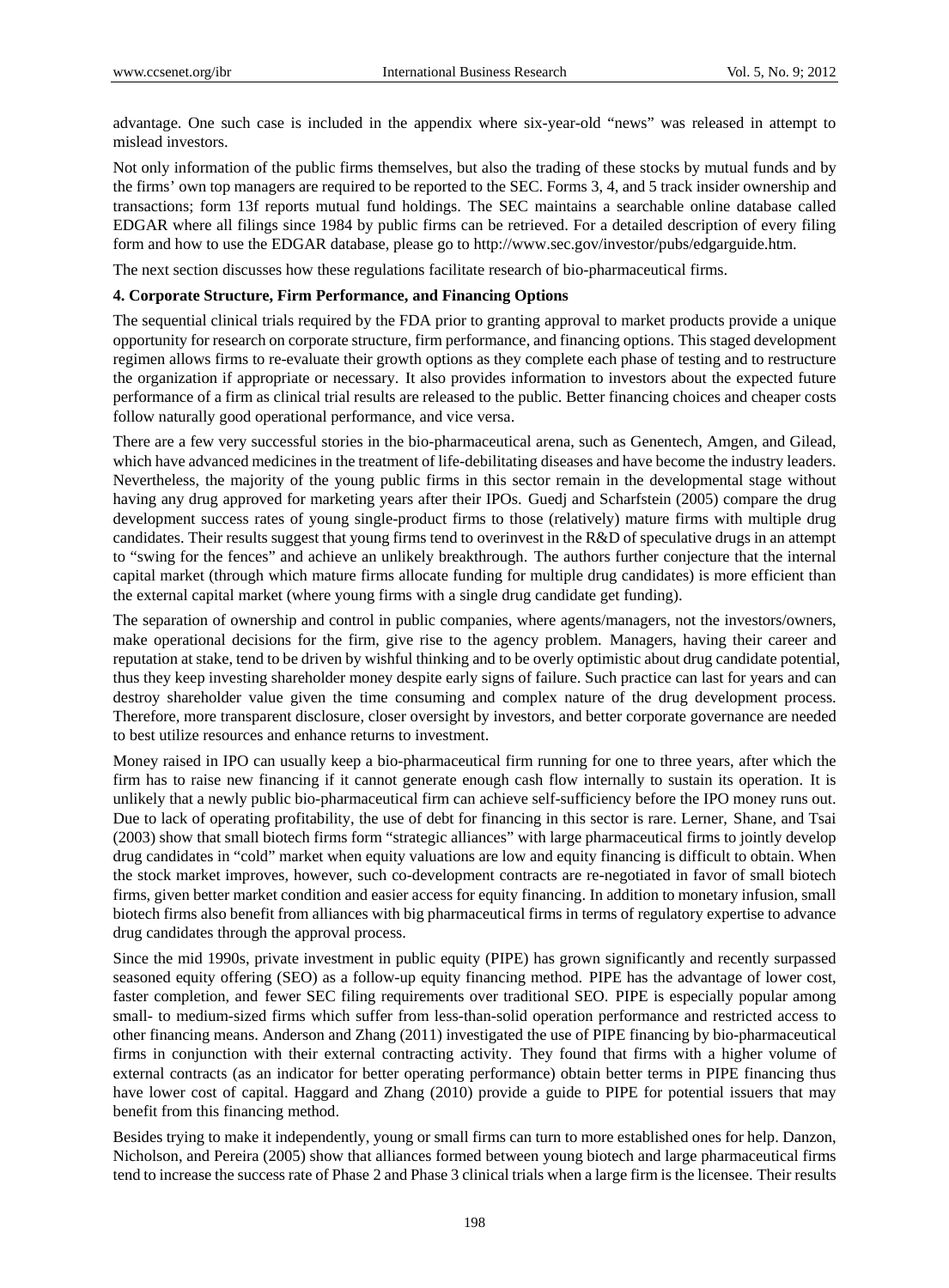advantage. One such case is included in the appendix where six-year-old "news" was released in attempt to mislead investors.

Not only information of the public firms themselves, but also the trading of these stocks by mutual funds and by the firms' own top managers are required to be reported to the SEC. Forms 3, 4, and 5 track insider ownership and transactions; form 13f reports mutual fund holdings. The SEC maintains a searchable online database called EDGAR where all filings since 1984 by public firms can be retrieved. For a detailed description of every filing form and how to use the EDGAR database, please go to http://www.sec.gov/investor/pubs/edgarguide.htm.

The next section discusses how these regulations facilitate research of bio-pharmaceutical firms.

#### **4. Corporate Structure, Firm Performance, and Financing Options**

The sequential clinical trials required by the FDA prior to granting approval to market products provide a unique opportunity for research on corporate structure, firm performance, and financing options. This staged development regimen allows firms to re-evaluate their growth options as they complete each phase of testing and to restructure the organization if appropriate or necessary. It also provides information to investors about the expected future performance of a firm as clinical trial results are released to the public. Better financing choices and cheaper costs follow naturally good operational performance, and vice versa.

There are a few very successful stories in the bio-pharmaceutical arena, such as Genentech, Amgen, and Gilead, which have advanced medicines in the treatment of life-debilitating diseases and have become the industry leaders. Nevertheless, the majority of the young public firms in this sector remain in the developmental stage without having any drug approved for marketing years after their IPOs. Guedj and Scharfstein (2005) compare the drug development success rates of young single-product firms to those (relatively) mature firms with multiple drug candidates. Their results suggest that young firms tend to overinvest in the R&D of speculative drugs in an attempt to "swing for the fences" and achieve an unlikely breakthrough. The authors further conjecture that the internal capital market (through which mature firms allocate funding for multiple drug candidates) is more efficient than the external capital market (where young firms with a single drug candidate get funding).

The separation of ownership and control in public companies, where agents/managers, not the investors/owners, make operational decisions for the firm, give rise to the agency problem. Managers, having their career and reputation at stake, tend to be driven by wishful thinking and to be overly optimistic about drug candidate potential, thus they keep investing shareholder money despite early signs of failure. Such practice can last for years and can destroy shareholder value given the time consuming and complex nature of the drug development process. Therefore, more transparent disclosure, closer oversight by investors, and better corporate governance are needed to best utilize resources and enhance returns to investment.

Money raised in IPO can usually keep a bio-pharmaceutical firm running for one to three years, after which the firm has to raise new financing if it cannot generate enough cash flow internally to sustain its operation. It is unlikely that a newly public bio-pharmaceutical firm can achieve self-sufficiency before the IPO money runs out. Due to lack of operating profitability, the use of debt for financing in this sector is rare. Lerner, Shane, and Tsai (2003) show that small biotech firms form "strategic alliances" with large pharmaceutical firms to jointly develop drug candidates in "cold" market when equity valuations are low and equity financing is difficult to obtain. When the stock market improves, however, such co-development contracts are re-negotiated in favor of small biotech firms, given better market condition and easier access for equity financing. In addition to monetary infusion, small biotech firms also benefit from alliances with big pharmaceutical firms in terms of regulatory expertise to advance drug candidates through the approval process.

Since the mid 1990s, private investment in public equity (PIPE) has grown significantly and recently surpassed seasoned equity offering (SEO) as a follow-up equity financing method. PIPE has the advantage of lower cost, faster completion, and fewer SEC filing requirements over traditional SEO. PIPE is especially popular among small- to medium-sized firms which suffer from less-than-solid operation performance and restricted access to other financing means. Anderson and Zhang (2011) investigated the use of PIPE financing by bio-pharmaceutical firms in conjunction with their external contracting activity. They found that firms with a higher volume of external contracts (as an indicator for better operating performance) obtain better terms in PIPE financing thus have lower cost of capital. Haggard and Zhang (2010) provide a guide to PIPE for potential issuers that may benefit from this financing method.

Besides trying to make it independently, young or small firms can turn to more established ones for help. Danzon, Nicholson, and Pereira (2005) show that alliances formed between young biotech and large pharmaceutical firms tend to increase the success rate of Phase 2 and Phase 3 clinical trials when a large firm is the licensee. Their results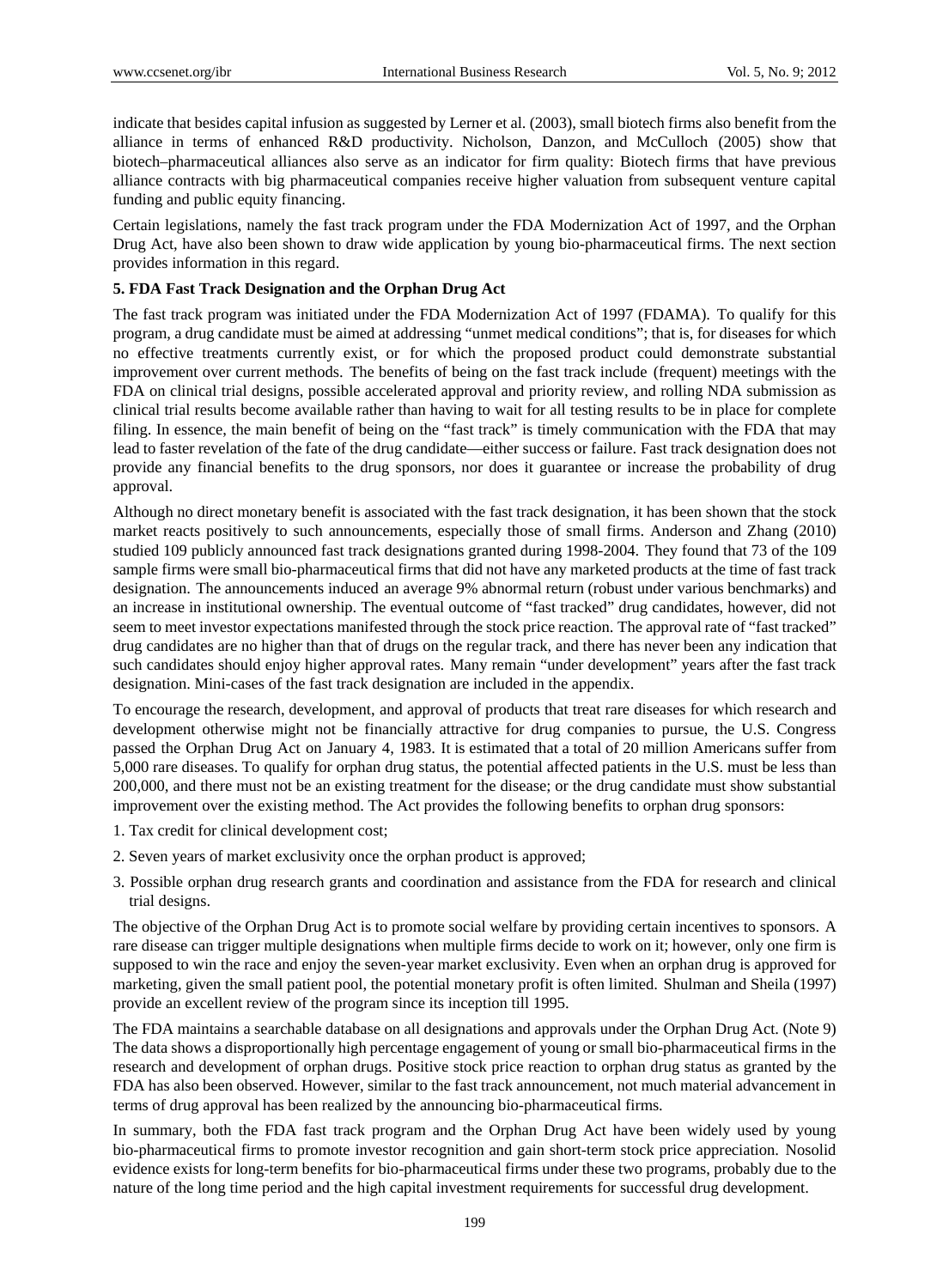indicate that besides capital infusion as suggested by Lerner et al. (2003), small biotech firms also benefit from the alliance in terms of enhanced R&D productivity. Nicholson, Danzon, and McCulloch (2005) show that biotech–pharmaceutical alliances also serve as an indicator for firm quality: Biotech firms that have previous alliance contracts with big pharmaceutical companies receive higher valuation from subsequent venture capital funding and public equity financing.

Certain legislations, namely the fast track program under the FDA Modernization Act of 1997, and the Orphan Drug Act, have also been shown to draw wide application by young bio-pharmaceutical firms. The next section provides information in this regard.

#### **5. FDA Fast Track Designation and the Orphan Drug Act**

The fast track program was initiated under the FDA Modernization Act of 1997 (FDAMA). To qualify for this program, a drug candidate must be aimed at addressing "unmet medical conditions"; that is, for diseases for which no effective treatments currently exist, or for which the proposed product could demonstrate substantial improvement over current methods. The benefits of being on the fast track include (frequent) meetings with the FDA on clinical trial designs, possible accelerated approval and priority review, and rolling NDA submission as clinical trial results become available rather than having to wait for all testing results to be in place for complete filing. In essence, the main benefit of being on the "fast track" is timely communication with the FDA that may lead to faster revelation of the fate of the drug candidate—either success or failure. Fast track designation does not provide any financial benefits to the drug sponsors, nor does it guarantee or increase the probability of drug approval.

Although no direct monetary benefit is associated with the fast track designation, it has been shown that the stock market reacts positively to such announcements, especially those of small firms. Anderson and Zhang (2010) studied 109 publicly announced fast track designations granted during 1998-2004. They found that 73 of the 109 sample firms were small bio-pharmaceutical firms that did not have any marketed products at the time of fast track designation. The announcements induced an average 9% abnormal return (robust under various benchmarks) and an increase in institutional ownership. The eventual outcome of "fast tracked" drug candidates, however, did not seem to meet investor expectations manifested through the stock price reaction. The approval rate of "fast tracked" drug candidates are no higher than that of drugs on the regular track, and there has never been any indication that such candidates should enjoy higher approval rates. Many remain "under development" years after the fast track designation. Mini-cases of the fast track designation are included in the appendix.

To encourage the research, development, and approval of products that treat rare diseases for which research and development otherwise might not be financially attractive for drug companies to pursue, the U.S. Congress passed the Orphan Drug Act on January 4, 1983. It is estimated that a total of 20 million Americans suffer from 5,000 rare diseases. To qualify for orphan drug status, the potential affected patients in the U.S. must be less than 200,000, and there must not be an existing treatment for the disease; or the drug candidate must show substantial improvement over the existing method. The Act provides the following benefits to orphan drug sponsors:

- 1. Tax credit for clinical development cost;
- 2. Seven years of market exclusivity once the orphan product is approved;
- 3. Possible orphan drug research grants and coordination and assistance from the FDA for research and clinical trial designs.

The objective of the Orphan Drug Act is to promote social welfare by providing certain incentives to sponsors. A rare disease can trigger multiple designations when multiple firms decide to work on it; however, only one firm is supposed to win the race and enjoy the seven-year market exclusivity. Even when an orphan drug is approved for marketing, given the small patient pool, the potential monetary profit is often limited. Shulman and Sheila (1997) provide an excellent review of the program since its inception till 1995.

The FDA maintains a searchable database on all designations and approvals under the Orphan Drug Act. (Note 9) The data shows a disproportionally high percentage engagement of young or small bio-pharmaceutical firms in the research and development of orphan drugs. Positive stock price reaction to orphan drug status as granted by the FDA has also been observed. However, similar to the fast track announcement, not much material advancement in terms of drug approval has been realized by the announcing bio-pharmaceutical firms.

In summary, both the FDA fast track program and the Orphan Drug Act have been widely used by young bio-pharmaceutical firms to promote investor recognition and gain short-term stock price appreciation. Nosolid evidence exists for long-term benefits for bio-pharmaceutical firms under these two programs, probably due to the nature of the long time period and the high capital investment requirements for successful drug development.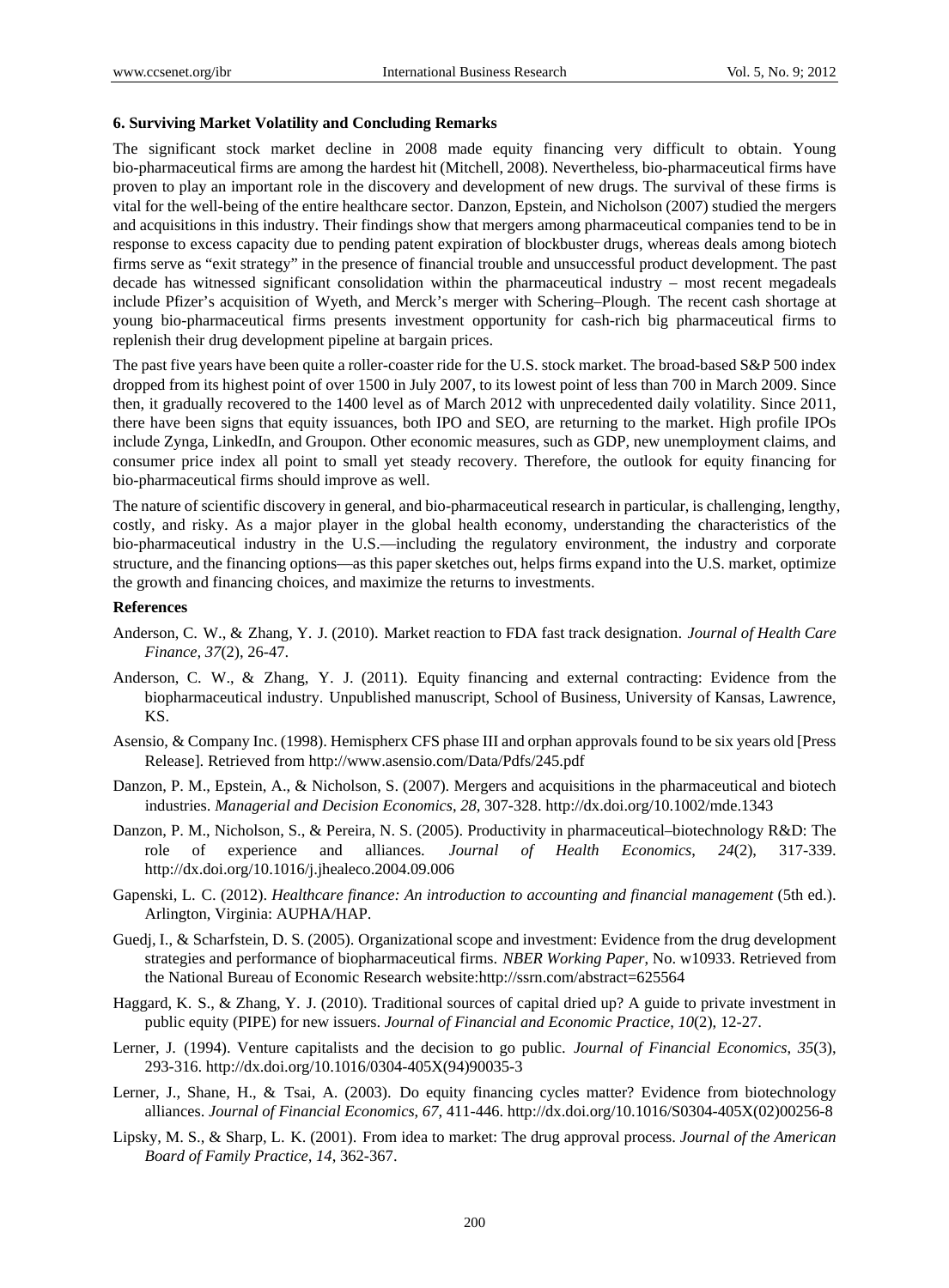#### **6. Surviving Market Volatility and Concluding Remarks**

The significant stock market decline in 2008 made equity financing very difficult to obtain. Young bio-pharmaceutical firms are among the hardest hit (Mitchell, 2008). Nevertheless, bio-pharmaceutical firms have proven to play an important role in the discovery and development of new drugs. The survival of these firms is vital for the well-being of the entire healthcare sector. Danzon, Epstein, and Nicholson (2007) studied the mergers and acquisitions in this industry. Their findings show that mergers among pharmaceutical companies tend to be in response to excess capacity due to pending patent expiration of blockbuster drugs, whereas deals among biotech firms serve as "exit strategy" in the presence of financial trouble and unsuccessful product development. The past decade has witnessed significant consolidation within the pharmaceutical industry – most recent megadeals include Pfizer's acquisition of Wyeth, and Merck's merger with Schering–Plough. The recent cash shortage at young bio-pharmaceutical firms presents investment opportunity for cash-rich big pharmaceutical firms to replenish their drug development pipeline at bargain prices.

The past five years have been quite a roller-coaster ride for the U.S. stock market. The broad-based S&P 500 index dropped from its highest point of over 1500 in July 2007, to its lowest point of less than 700 in March 2009. Since then, it gradually recovered to the 1400 level as of March 2012 with unprecedented daily volatility. Since 2011, there have been signs that equity issuances, both IPO and SEO, are returning to the market. High profile IPOs include Zynga, LinkedIn, and Groupon. Other economic measures, such as GDP, new unemployment claims, and consumer price index all point to small yet steady recovery. Therefore, the outlook for equity financing for bio-pharmaceutical firms should improve as well.

The nature of scientific discovery in general, and bio-pharmaceutical research in particular, is challenging, lengthy, costly, and risky. As a major player in the global health economy, understanding the characteristics of the bio-pharmaceutical industry in the U.S.—including the regulatory environment, the industry and corporate structure, and the financing options—as this paper sketches out, helps firms expand into the U.S. market, optimize the growth and financing choices, and maximize the returns to investments.

#### **References**

- Anderson, C. W., & Zhang, Y. J. (2010). Market reaction to FDA fast track designation. *Journal of Health Care Finance, 37*(2), 26-47.
- Anderson, C. W., & Zhang, Y. J. (2011). Equity financing and external contracting: Evidence from the biopharmaceutical industry. Unpublished manuscript, School of Business, University of Kansas, Lawrence, KS.
- Asensio, & Company Inc. (1998). Hemispherx CFS phase III and orphan approvals found to be six years old [Press Release]. Retrieved from http://www.asensio.com/Data/Pdfs/245.pdf
- Danzon, P. M., Epstein, A., & Nicholson, S. (2007). Mergers and acquisitions in the pharmaceutical and biotech industries. *Managerial and Decision Economics*, *28*, 307-328. http://dx.doi.org/10.1002/mde.1343
- Danzon, P. M., Nicholson, S., & Pereira, N. S. (2005). Productivity in pharmaceutical–biotechnology R&D: The role of experience and alliances. *Journal of Health Economics*, *24*(2), 317-339. http://dx.doi.org/10.1016/j.jhealeco.2004.09.006
- Gapenski, L. C. (2012). *Healthcare finance: An introduction to accounting and financial management* (5th ed.). Arlington, Virginia: AUPHA/HAP.
- Guedj, I., & Scharfstein, D. S. (2005). Organizational scope and investment: Evidence from the drug development strategies and performance of biopharmaceutical firms. *NBER Working Paper*, No. w10933. Retrieved from the National Bureau of Economic Research website:http://ssrn.com/abstract=625564
- Haggard, K. S., & Zhang, Y. J. (2010). Traditional sources of capital dried up? A guide to private investment in public equity (PIPE) for new issuers. *Journal of Financial and Economic Practice*, *10*(2), 12-27.
- Lerner, J. (1994). Venture capitalists and the decision to go public. *Journal of Financial Economics*, *35*(3), 293-316. http://dx.doi.org/10.1016/0304-405X(94)90035-3
- Lerner, J., Shane, H., & Tsai, A. (2003). Do equity financing cycles matter? Evidence from biotechnology alliances. *Journal of Financial Economics*, *67*, 411-446. http://dx.doi.org/10.1016/S0304-405X(02)00256-8
- Lipsky, M. S., & Sharp, L. K. (2001). From idea to market: The drug approval process. *Journal of the American Board of Family Practice, 14*, 362-367.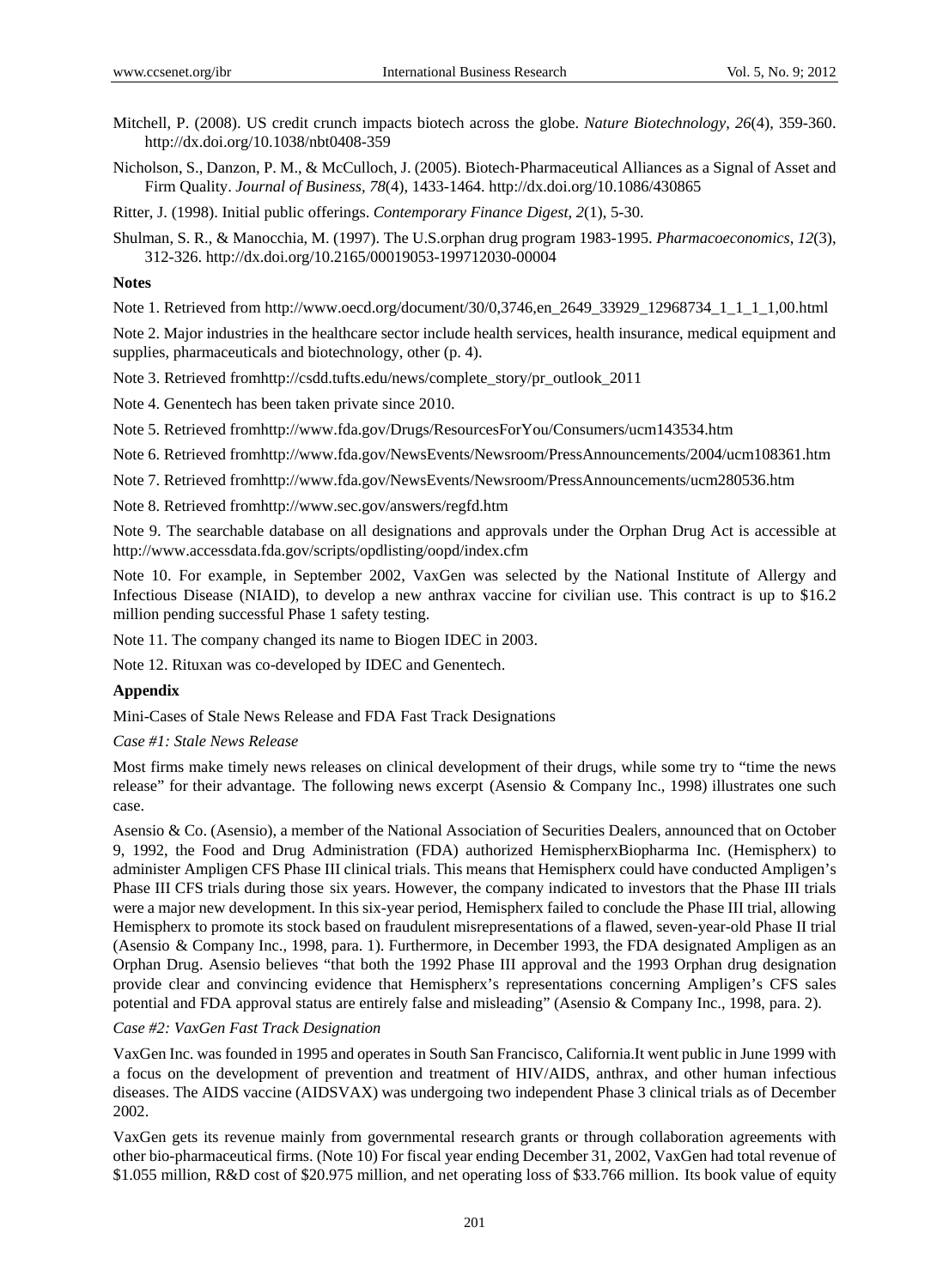Mitchell, P. (2008). US credit crunch impacts biotech across the globe. *Nature Biotechnology*, *26*(4), 359-360. http://dx.doi.org/10.1038/nbt0408-359

Nicholson, S., Danzon, P. M., & McCulloch, J. (2005). Biotech‐Pharmaceutical Alliances as a Signal of Asset and Firm Quality. *Journal of Business, 78*(4), 1433-1464. http://dx.doi.org/10.1086/430865

Ritter, J. (1998). Initial public offerings. *Contemporary Finance Digest*, *2*(1), 5-30.

Shulman, S. R., & Manocchia, M. (1997). The U.S.orphan drug program 1983-1995. *Pharmacoeconomics*, *12*(3), 312-326. http://dx.doi.org/10.2165/00019053-199712030-00004

### **Notes**

Note 1. Retrieved from http://www.oecd.org/document/30/0,3746,en\_2649\_33929\_12968734\_1\_1\_1\_1,00.html

Note 2. Major industries in the healthcare sector include health services, health insurance, medical equipment and supplies, pharmaceuticals and biotechnology, other (p. 4).

Note 3. Retrieved fromhttp://csdd.tufts.edu/news/complete\_story/pr\_outlook\_2011

Note 4. Genentech has been taken private since 2010.

Note 5. Retrieved fromhttp://www.fda.gov/Drugs/ResourcesForYou/Consumers/ucm143534.htm

Note 6. Retrieved fromhttp://www.fda.gov/NewsEvents/Newsroom/PressAnnouncements/2004/ucm108361.htm

Note 7. Retrieved fromhttp://www.fda.gov/NewsEvents/Newsroom/PressAnnouncements/ucm280536.htm

Note 8. Retrieved fromhttp://www.sec.gov/answers/regfd.htm

Note 9. The searchable database on all designations and approvals under the Orphan Drug Act is accessible at http://www.accessdata.fda.gov/scripts/opdlisting/oopd/index.cfm

Note 10. For example, in September 2002, VaxGen was selected by the National Institute of Allergy and Infectious Disease (NIAID), to develop a new anthrax vaccine for civilian use. This contract is up to \$16.2 million pending successful Phase 1 safety testing.

Note 11. The company changed its name to Biogen IDEC in 2003.

Note 12. Rituxan was co-developed by IDEC and Genentech.

## **Appendix**

Mini-Cases of Stale News Release and FDA Fast Track Designations

#### *Case #1: Stale News Release*

Most firms make timely news releases on clinical development of their drugs, while some try to "time the news release" for their advantage. The following news excerpt (Asensio & Company Inc., 1998) illustrates one such case.

Asensio & Co. (Asensio), a member of the National Association of Securities Dealers, announced that on October 9, 1992, the Food and Drug Administration (FDA) authorized HemispherxBiopharma Inc. (Hemispherx) to administer Ampligen CFS Phase III clinical trials. This means that Hemispherx could have conducted Ampligen's Phase III CFS trials during those six years. However, the company indicated to investors that the Phase III trials were a major new development. In this six-year period, Hemispherx failed to conclude the Phase III trial, allowing Hemispherx to promote its stock based on fraudulent misrepresentations of a flawed, seven-year-old Phase II trial (Asensio & Company Inc., 1998, para. 1). Furthermore, in December 1993, the FDA designated Ampligen as an Orphan Drug. Asensio believes "that both the 1992 Phase III approval and the 1993 Orphan drug designation provide clear and convincing evidence that Hemispherx's representations concerning Ampligen's CFS sales potential and FDA approval status are entirely false and misleading" (Asensio & Company Inc., 1998, para. 2).

## *Case #2: VaxGen Fast Track Designation*

VaxGen Inc. was founded in 1995 and operates in South San Francisco, California.It went public in June 1999 with a focus on the development of prevention and treatment of HIV/AIDS, anthrax, and other human infectious diseases. The AIDS vaccine (AIDSVAX) was undergoing two independent Phase 3 clinical trials as of December 2002.

VaxGen gets its revenue mainly from governmental research grants or through collaboration agreements with other bio-pharmaceutical firms. (Note 10) For fiscal year ending December 31, 2002, VaxGen had total revenue of \$1.055 million, R&D cost of \$20.975 million, and net operating loss of \$33.766 million. Its book value of equity